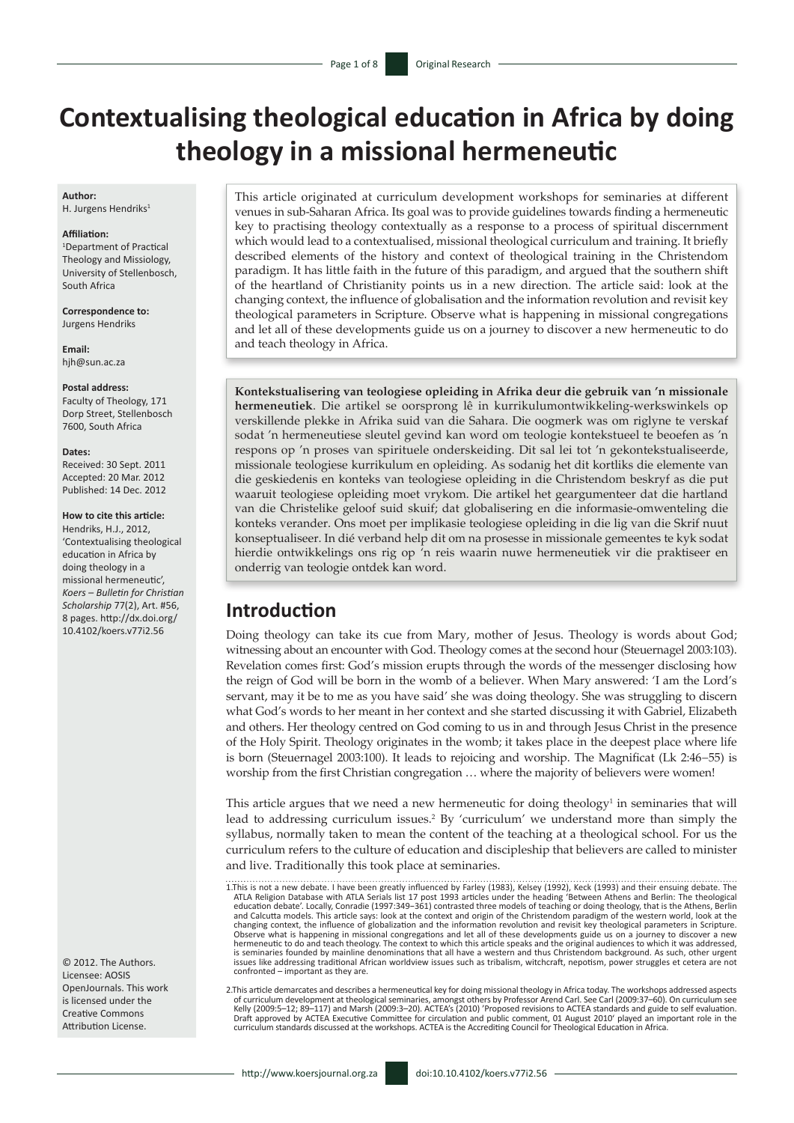# **Contextualising theological education in Africa by doing theology in a missional hermeneutic**

### **Author:**

H. Jurgens Hendriks<sup>1</sup>

#### **Affiliation:**

1 Department of Practical Theology and Missiology, University of Stellenbosch, South Africa

**Correspondence to:** Jurgens Hendriks

**Email:** [hjh@sun.ac.za](mailto:hjh@sun.ac.za)

#### **Postal address:**

Faculty of Theology, 171 Dorp Street, Stellenbosch 7600, South Africa

#### **Dates:**

Received: 30 Sept. 2011 Accepted: 20 Mar. 2012 Published: 14 Dec. 2012

### **How to cite this article:**

Hendriks, H.J., 2012, 'Contextualising theological education in Africa by doing theology in a missional hermeneutic', *Koers – Bulletin for Christian Scholarship* 77(2), Art. #56, 8 pages. [http://dx.doi.org/](http://dx.doi.org/10.4102/koers.v77i1.56)  [10.4102/koers.v77i2.56](http://dx.doi.org/10.4102/koers.v77i1.56)

© 2012. The Authors. Licensee: AOSIS OpenJournals. This work is licensed under the Creative Commons Attribution License.

This article originated at curriculum development workshops for seminaries at different venues in sub-Saharan Africa. Its goal was to provide guidelines towards finding a hermeneutic key to practising theology contextually as a response to a process of spiritual discernment which would lead to a contextualised, missional theological curriculum and training. It briefly described elements of the history and context of theological training in the Christendom paradigm. It has little faith in the future of this paradigm, and argued that the southern shift of the heartland of Christianity points us in a new direction. The article said: look at the changing context, the influence of globalisation and the information revolution and revisit key theological parameters in Scripture. Observe what is happening in missional congregations and let all of these developments guide us on a journey to discover a new hermeneutic to do and teach theology in Africa.

**Kontekstualisering van teologiese opleiding in Afrika deur die gebruik van 'n missionale hermeneutiek**. Die artikel se oorsprong lê in kurrikulumontwikkeling-werkswinkels op verskillende plekke in Afrika suid van die Sahara. Die oogmerk was om riglyne te verskaf sodat 'n hermeneutiese sleutel gevind kan word om teologie kontekstueel te beoefen as 'n respons op 'n proses van spirituele onderskeiding. Dit sal lei tot 'n gekontekstualiseerde, missionale teologiese kurrikulum en opleiding. As sodanig het dit kortliks die elemente van die geskiedenis en konteks van teologiese opleiding in die Christendom beskryf as die put waaruit teologiese opleiding moet vrykom. Die artikel het geargumenteer dat die hartland van die Christelike geloof suid skuif; dat globalisering en die informasie-omwenteling die konteks verander. Ons moet per implikasie teologiese opleiding in die lig van die Skrif nuut konseptualiseer. In dié verband help dit om na prosesse in missionale gemeentes te kyk sodat hierdie ontwikkelings ons rig op 'n reis waarin nuwe hermeneutiek vir die praktiseer en onderrig van teologie ontdek kan word.

### **Introduction**

Doing theology can take its cue from Mary, mother of Jesus. Theology is words about God; witnessing about an encounter with God. Theology comes at the second hour (Steuernagel 2003:103). Revelation comes first: God's mission erupts through the words of the messenger disclosing how the reign of God will be born in the womb of a believer. When Mary answered: 'I am the Lord's servant, may it be to me as you have said' she was doing theology. She was struggling to discern what God's words to her meant in her context and she started discussing it with Gabriel, Elizabeth and others. Her theology centred on God coming to us in and through Jesus Christ in the presence of the Holy Spirit. Theology originates in the womb; it takes place in the deepest place where life is born (Steuernagel 2003:100). It leads to rejoicing and worship. The Magnificat (Lk 2:46−55) is worship from the first Christian congregation … where the majority of believers were women!

This article argues that we need a new hermeneutic for doing theology<sup>1</sup> in seminaries that will lead to addressing curriculum issues.<sup>2</sup> By 'curriculum' we understand more than simply the syllabus, normally taken to mean the content of the teaching at a theological school. For us the curriculum refers to the culture of education and discipleship that believers are called to minister and live. Traditionally this took place at seminaries.

<sup>1.</sup>This is not a new debate. I have been greatly influenced by Farley (1983), Kelsey (1992), Keck (1993) and their ensuing debate. The ATLA Religion Database with ATLA Serials list 17 post 1993 articles under the heading 'Between Athens and Berlin: The theological education debate'. Locally, Conradie (1997:349−361) contrasted three models of teaching or doing theology, that is the Athens, Berlin and Calcutta models. This article says: look at the context and origin of the Christendom paradigm of the western world, look at the<br>changing context, the influence of globalization and the information revolution and revis Observe what is happening in missional congregations and let all of these developments guide us on a journey to discover a new<br>hermeneutic to do and teach theology. The context to which this article speaks and the original is seminaries founded by mainline denominations that all have a western and thus Christendom background. As such, other urgent<br>issues like addressing traditional African worldview issues such as tribalism, witchcraft, nepo confronted – important as they are.

<sup>2.</sup>This article demarcates and describes a hermeneutical key for doing missional theology in Africa today. The workshops addressed aspects of curriculum development at theological seminaries, amongst others by Professor Arend Carl. See Carl (2009:37–60). On curriculum see<br>Kelly (2009:5–12; 89–117) and Marsh (2009:3–20). ACTEA's (2010) 'Proposed revisions to A curriculum standards discussed at the workshops. ACTEA is the Accrediting Council for Theological Education in Africa.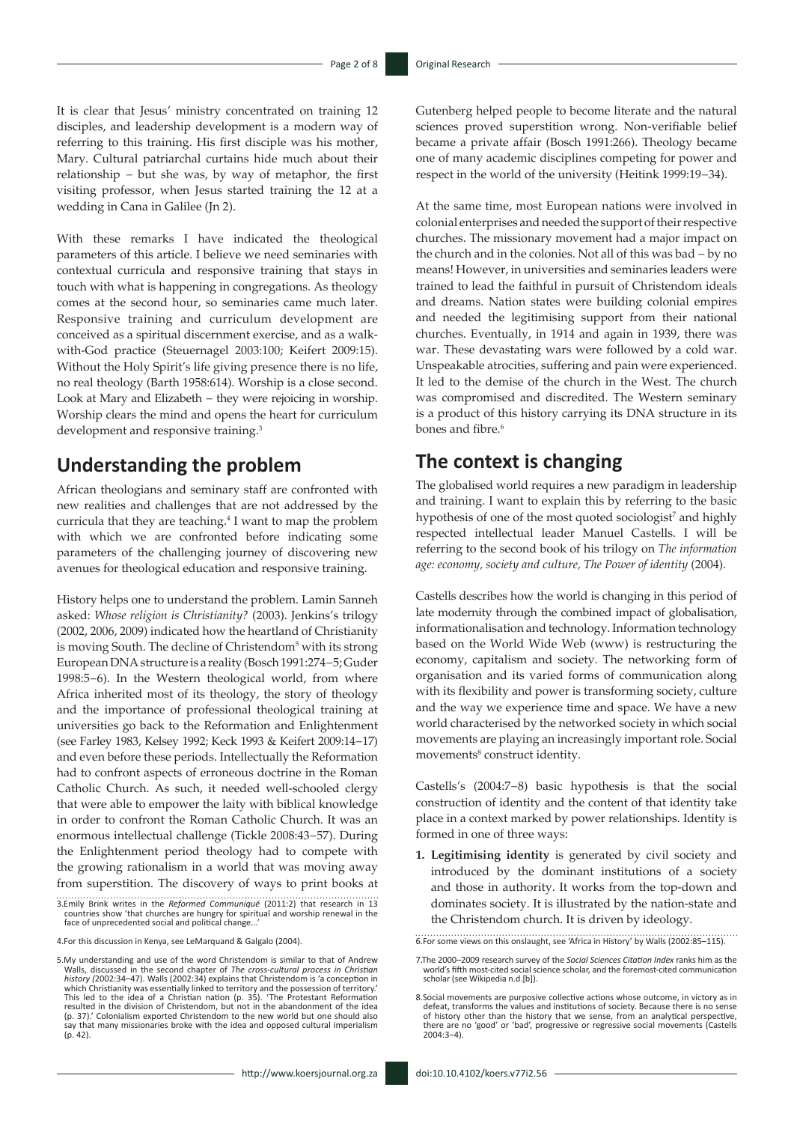It is clear that Jesus' ministry concentrated on training 12 disciples, and leadership development is a modern way of referring to this training. His first disciple was his mother, Mary. Cultural patriarchal curtains hide much about their relationship − but she was, by way of metaphor, the first visiting professor, when Jesus started training the 12 at a wedding in Cana in Galilee (Jn 2).

With these remarks I have indicated the theological parameters of this article. I believe we need seminaries with contextual curricula and responsive training that stays in touch with what is happening in congregations. As theology comes at the second hour, so seminaries came much later. Responsive training and curriculum development are conceived as a spiritual discernment exercise, and as a walkwith-God practice (Steuernagel 2003:100; Keifert 2009:15). Without the Holy Spirit's life giving presence there is no life, no real theology (Barth 1958:614). Worship is a close second. Look at Mary and Elizabeth − they were rejoicing in worship. Worship clears the mind and opens the heart for curriculum development and responsive training.<sup>3</sup>

# **Understanding the problem**

African theologians and seminary staff are confronted with new realities and challenges that are not addressed by the curricula that they are teaching.<sup>4</sup> I want to map the problem with which we are confronted before indicating some parameters of the challenging journey of discovering new avenues for theological education and responsive training.

History helps one to understand the problem. Lamin Sanneh asked: *Whose religion is Christianity?* (2003). Jenkins's trilogy (2002, 2006, 2009) indicated how the heartland of Christianity is moving South. The decline of Christendom<sup>5</sup> with its strong European DNA structure is a reality (Bosch 1991:274−5; Guder 1998:5−6). In the Western theological world, from where Africa inherited most of its theology, the story of theology and the importance of professional theological training at universities go back to the Reformation and Enlightenment (see Farley 1983, Kelsey 1992; Keck 1993 & Keifert 2009:14−17) and even before these periods. Intellectually the Reformation had to confront aspects of erroneous doctrine in the Roman Catholic Church. As such, it needed well-schooled clergy that were able to empower the laity with biblical knowledge in order to confront the Roman Catholic Church. It was an enormous intellectual challenge (Tickle 2008:43−57). During the Enlightenment period theology had to compete with the growing rationalism in a world that was moving away from superstition. The discovery of ways to print books at

3.Emily Brink writes in the *Reformed Communiqué* (2011:2) that research in 13 countries show 'that churches are hungry for spiritual and worship renewal in the face of unprecedented social and political change...'

4.For this discussion in Kenya, see LeMarquand & Galgalo (2004).

5.My understanding and use of the word Christendom is similar to that of Andrew Walls, discussed in the second chapter of *The cross-cultural process in Christian history (*2002:34–47). Walls (2002:34) explains that Christendom is 'a conception in which Christianity was essentially linked to territory and the possession of territory.' This led to the idea of a Christian nation (p. 35). 'The Protestant Reformation resulted in the division of Christendom, but not in the abandonment of the idea (p. 37).' Colonialism exported Christendom to the new world but one should also say that many missionaries broke with the idea and opposed cultural imperialism  $(p. 42)$ 

Gutenberg helped people to become literate and the natural sciences proved superstition wrong. Non-verifiable belief became a private affair (Bosch 1991:266). Theology became one of many academic disciplines competing for power and respect in the world of the university (Heitink 1999:19−34).

At the same time, most European nations were involved in colonial enterprises and needed the support of their respective churches. The missionary movement had a major impact on the church and in the colonies. Not all of this was bad − by no means! However, in universities and seminaries leaders were trained to lead the faithful in pursuit of Christendom ideals and dreams. Nation states were building colonial empires and needed the legitimising support from their national churches. Eventually, in 1914 and again in 1939, there was war. These devastating wars were followed by a cold war. Unspeakable atrocities, suffering and pain were experienced. It led to the demise of the church in the West. The church was compromised and discredited. The Western seminary is a product of this history carrying its DNA structure in its bones and fibre.<sup>6</sup>

# **The context is changing**

The globalised world requires a new paradigm in leadership and training. I want to explain this by referring to the basic hypothesis of one of the most quoted sociologist<sup>7</sup> and highly respected intellectual leader Manuel Castells. I will be referring to the second book of his trilogy on *The information age: economy, society and culture, The Power of identity* (2004).

Castells describes how the world is changing in this period of late modernity through the combined impact of globalisation, informationalisation and technology. Information technology based on the World Wide Web (www) is restructuring the economy, capitalism and society. The networking form of organisation and its varied forms of communication along with its flexibility and power is transforming society, culture and the way we experience time and space. We have a new world characterised by the networked society in which social movements are playing an increasingly important role. Social movements<sup>8</sup> construct identity.

Castells's (2004:7−8) basic hypothesis is that the social construction of identity and the content of that identity take place in a context marked by power relationships. Identity is formed in one of three ways:

**1. Legitimising identity** is generated by civil society and introduced by the dominant institutions of a society and those in authority. It works from the top-down and dominates society. It is illustrated by the nation-state and the Christendom church. It is driven by ideology.

6.For some views on this onslaught, see 'Africa in History' by Walls (2002:85–115).

<sup>7.</sup>The 2000–2009 research survey of the *[Social Sciences Citation Index](http://thomsonreuters.com/products_services/science/science_products/a-z/social_sciences_citation_index)* ranks him as the world's fifth most-cited social science scholar, and the foremost-cited communication scholar (see Wikipedia n.d.[b]).

<sup>8.</sup>Social movements are purposive collective actions whose outcome, in victory as in defeat, transforms the values and institutions of society. Because there is no sense of history other than the history that we sense, from an analytical perspective, there are no 'good' or 'bad', progressive or regressive social movements (Castells 2004:3−4).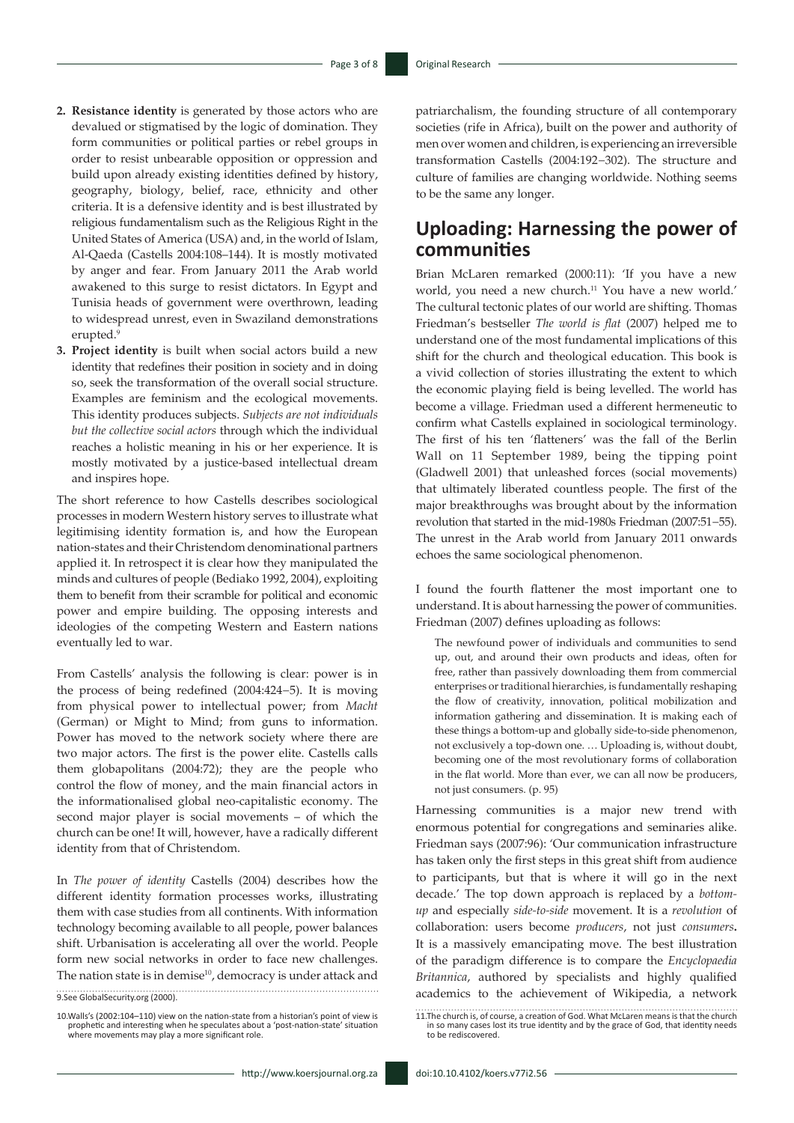- **2. Resistance identity** is generated by those actors who are devalued or stigmatised by the logic of domination. They form communities or political parties or rebel groups in order to resist unbearable opposition or oppression and build upon already existing identities defined by history, geography, biology, belief, race, ethnicity and other criteria. It is a defensive identity and is best illustrated by religious fundamentalism such as the Religious Right in the United States of America (USA) and, in the world of Islam, Al-Qaeda (Castells 2004:108–144). It is mostly motivated by anger and fear. From January 2011 the Arab world awakened to this surge to resist dictators. In Egypt and Tunisia heads of government were overthrown, leading to widespread unrest, even in Swaziland demonstrations erupted.<sup>9</sup>
- **3. Project identity** is built when social actors build a new identity that redefines their position in society and in doing so, seek the transformation of the overall social structure. Examples are feminism and the ecological movements. This identity produces subjects. *Subjects are not individuals but the collective social actors* through which the individual reaches a holistic meaning in his or her experience. It is mostly motivated by a justice-based intellectual dream and inspires hope.

The short reference to how Castells describes sociological processes in modern Western history serves to illustrate what legitimising identity formation is, and how the European nation-states and their Christendom denominational partners applied it. In retrospect it is clear how they manipulated the minds and cultures of people (Bediako 1992, 2004), exploiting them to benefit from their scramble for political and economic power and empire building. The opposing interests and ideologies of the competing Western and Eastern nations eventually led to war.

From Castells' analysis the following is clear: power is in the process of being redefined (2004:424−5). It is moving from physical power to intellectual power; from *Macht* (German) or Might to Mind; from guns to information. Power has moved to the network society where there are two major actors. The first is the power elite. Castells calls them globapolitans (2004:72); they are the people who control the flow of money, and the main financial actors in the informationalised global neo-capitalistic economy. The second major player is social movements – of which the church can be one! It will, however, have a radically different identity from that of Christendom.

In *The power of identity* Castells (2004) describes how the different identity formation processes works, illustrating them with case studies from all continents. With information technology becoming available to all people, power balances shift. Urbanisation is accelerating all over the world. People form new social networks in order to face new challenges. The nation state is in demise<sup>10</sup>, democracy is under attack and

9.See GlobalSecurity.org (2000).

10.Walls's (2002:104–110) view on the nation-state from a historian's point of view is prophetic and interesting when he speculates about a 'post-nation-state' situation where movements may play a more significant role. patriarchalism, the founding structure of all contemporary societies (rife in Africa), built on the power and authority of men over women and children, is experiencing an irreversible transformation Castells (2004:192−302). The structure and culture of families are changing worldwide. Nothing seems to be the same any longer.

# **Uploading: Harnessing the power of communities**

Brian McLaren remarked (2000:11): 'If you have a new world, you need a new church.<sup>11</sup> You have a new world.' The cultural tectonic plates of our world are shifting. Thomas Friedman's bestseller *The world is flat* (2007) helped me to understand one of the most fundamental implications of this shift for the church and theological education. This book is a vivid collection of stories illustrating the extent to which the economic playing field is being levelled. The world has become a village. Friedman used a different hermeneutic to confirm what Castells explained in sociological terminology. The first of his ten 'flatteners' was the fall of the Berlin Wall on 11 September 1989, being the tipping point (Gladwell 2001) that unleashed forces (social movements) that ultimately liberated countless people. The first of the major breakthroughs was brought about by the information revolution that started in the mid-1980s Friedman (2007:51−55). The unrest in the Arab world from January 2011 onwards echoes the same sociological phenomenon.

I found the fourth flattener the most important one to understand. It is about harnessing the power of communities. Friedman (2007) defines uploading as follows:

The newfound power of individuals and communities to send up, out, and around their own products and ideas, often for free, rather than passively downloading them from commercial enterprises or traditional hierarchies, is fundamentally reshaping the flow of creativity, innovation, political mobilization and information gathering and dissemination. It is making each of these things a bottom-up and globally side-to-side phenomenon, not exclusively a top-down one. … Uploading is, without doubt, becoming one of the most revolutionary forms of collaboration in the flat world. More than ever, we can all now be producers, not just consumers. (p. 95)

Harnessing communities is a major new trend with enormous potential for congregations and seminaries alike. Friedman says (2007:96): 'Our communication infrastructure has taken only the first steps in this great shift from audience to participants, but that is where it will go in the next decade.' The top down approach is replaced by a *bottomup* and especially *side-to-side* movement. It is a *revolution* of collaboration: users become *producers*, not just *consumers***.**  It is a massively emancipating move. The best illustration of the paradigm difference is to compare the *Encyclopaedia Britannica*, authored by specialists and highly qualified academics to the achievement of Wikipedia, a network

<sup>11.</sup>The church is, of course, a creation of God. What McLaren means is that the church in so many cases lost its true identity and by the grace of God, that identity needs to be rediscovered.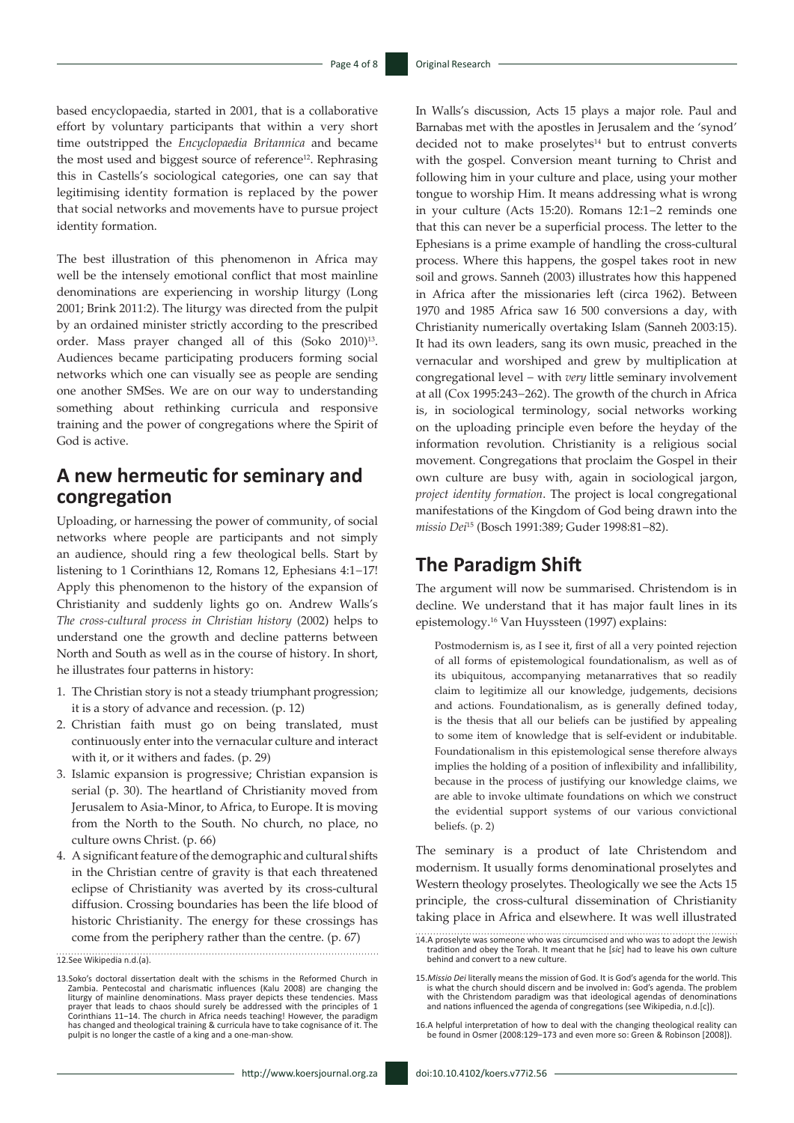based encyclopaedia, started in 2001, that is a collaborative effort by voluntary participants that within a very short time outstripped the *Encyclopaedia Britannica* and became the most used and biggest source of reference<sup>12</sup>. Rephrasing this in Castells's sociological categories, one can say that legitimising identity formation is replaced by the power that social networks and movements have to pursue project identity formation.

The best illustration of this phenomenon in Africa may well be the intensely emotional conflict that most mainline denominations are experiencing in worship liturgy (Long 2001; Brink 2011:2). The liturgy was directed from the pulpit by an ordained minister strictly according to the prescribed order. Mass prayer changed all of this (Soko 2010)<sup>13</sup>. Audiences became participating producers forming social networks which one can visually see as people are sending one another SMSes. We are on our way to understanding something about rethinking curricula and responsive training and the power of congregations where the Spirit of God is active.

# **A new hermeutic for seminary and congregation**

Uploading, or harnessing the power of community, of social networks where people are participants and not simply an audience, should ring a few theological bells. Start by listening to 1 Corinthians 12, Romans 12, Ephesians 4:1−17! Apply this phenomenon to the history of the expansion of Christianity and suddenly lights go on. Andrew Walls's *The cross-cultural process in Christian history* (2002) helps to understand one the growth and decline patterns between North and South as well as in the course of history. In short, he illustrates four patterns in history:

- 1. The Christian story is not a steady triumphant progression; it is a story of advance and recession. (p. 12)
- 2. Christian faith must go on being translated, must continuously enter into the vernacular culture and interact with it, or it withers and fades. (p. 29)
- 3. Islamic expansion is progressive; Christian expansion is serial (p. 30). The heartland of Christianity moved from Jerusalem to Asia-Minor, to Africa, to Europe. It is moving from the North to the South. No church, no place, no culture owns Christ. (p. 66)
- 4. A significant feature of the demographic and cultural shifts in the Christian centre of gravity is that each threatened eclipse of Christianity was averted by its cross-cultural diffusion. Crossing boundaries has been the life blood of historic Christianity. The energy for these crossings has come from the periphery rather than the centre. (p. 67)

12.See Wikipedia n.d.(a).

In Walls's discussion, Acts 15 plays a major role. Paul and Barnabas met with the apostles in Jerusalem and the 'synod' decided not to make proselytes $14$  but to entrust converts with the gospel. Conversion meant turning to Christ and following him in your culture and place, using your mother tongue to worship Him. It means addressing what is wrong in your culture (Acts 15:20). Romans 12:1−2 reminds one that this can never be a superficial process. The letter to the Ephesians is a prime example of handling the cross-cultural process. Where this happens, the gospel takes root in new soil and grows. Sanneh (2003) illustrates how this happened in Africa after the missionaries left (circa 1962). Between 1970 and 1985 Africa saw 16 500 conversions a day, with Christianity numerically overtaking Islam (Sanneh 2003:15). It had its own leaders, sang its own music, preached in the vernacular and worshiped and grew by multiplication at congregational level − with *very* little seminary involvement at all (Cox 1995:243−262). The growth of the church in Africa is, in sociological terminology, social networks working on the uploading principle even before the heyday of the information revolution. Christianity is a religious social movement. Congregations that proclaim the Gospel in their own culture are busy with, again in sociological jargon, *project identity formation*. The project is local congregational manifestations of the Kingdom of God being drawn into the *missio Dei*15 (Bosch 1991:389; Guder 1998:81−82).

## **The Paradigm Shift**

The argument will now be summarised. Christendom is in decline. We understand that it has major fault lines in its epistemology.16 Van Huyssteen (1997) explains:

Postmodernism is, as I see it, first of all a very pointed rejection of all forms of epistemological foundationalism, as well as of its ubiquitous, accompanying metanarratives that so readily claim to legitimize all our knowledge, judgements, decisions and actions. Foundationalism, as is generally defined today, is the thesis that all our beliefs can be justified by appealing to some item of knowledge that is self-evident or indubitable. Foundationalism in this epistemological sense therefore always implies the holding of a position of inflexibility and infallibility, because in the process of justifying our knowledge claims, we are able to invoke ultimate foundations on which we construct the evidential support systems of our various convictional beliefs. (p. 2)

The seminary is a product of late Christendom and modernism. It usually forms denominational proselytes and Western theology proselytes. Theologically we see the Acts 15 principle, the cross-cultural dissemination of Christianity taking place in Africa and elsewhere. It was well illustrated

<sup>13.</sup>Soko's doctoral dissertation dealt with the schisms in the Reformed Church in Zambia. Pentecostal and charismatic influences (Kalu 2008) are changing the liturgy of mainline denominations. Mass prayer depicts these tendencies. Mass<br>prayer that leads to chaos should surely be addressed with the principles of 1<br>Corinthians 11–14. The church in Africa needs teaching! However, has changed and theological training & curricula have to take cognisance of it. The pulpit is no longer the castle of a king and a one-man-show.

<sup>14.</sup>A proselyte was someone who was circumcised and who was to adopt the Jewish tradition and obey the Torah. It meant that he [*sic*] had to leave his own culture behind and convert to a new culture.

<sup>15.</sup>*Missio Dei* literally means the mission of God. It is God's agenda for the world. This is what the church should discern and be involved in: God's agenda. The problem with the Christendom paradigm was that ideological agendas of denominations and nations influenced the agenda of congregations (see Wikipedia, n.d.[c]).

<sup>16.</sup>A helpful interpretation of how to deal with the changing theological reality can be found in Osmer (2008:129−173 and even more so: Green & Robinson [2008]).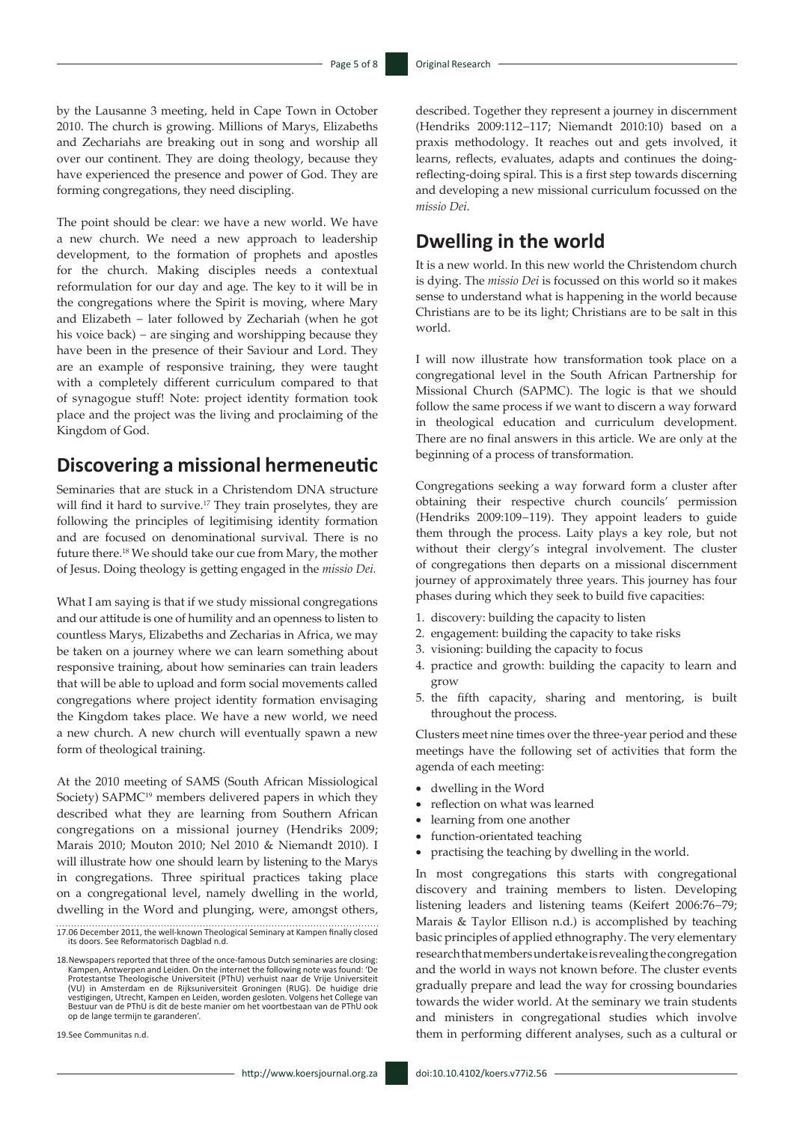by the Lausanne 3 meeting, held in Cape Town in October 2010. The church is growing. Millions of Marys, Elizabeths and Zechariahs are breaking out in song and worship all over our continent. They are doing theology, because they have experienced the presence and power of God. They are forming congregations, they need discipling.

The point should be clear: we have a new world. We have a new church. We need a new approach to leadership development, to the formation of prophets and apostles for the church. Making disciples needs a contextual reformulation for our day and age. The key to it will be in the congregations where the Spirit is moving, where Mary and Elizabeth − later followed by Zechariah (when he got his voice back) − are singing and worshipping because they have been in the presence of their Saviour and Lord. They are an example of responsive training, they were taught with a completely different curriculum compared to that of synagogue stuff! Note: project identity formation took place and the project was the living and proclaiming of the Kingdom of God.

# **Discovering a missional hermeneutic**

Seminaries that are stuck in a Christendom DNA structure will find it hard to survive.<sup>17</sup> They train proselytes, they are following the principles of legitimising identity formation and are focused on denominational survival. There is no future there.18 We should take our cue from Mary, the mother of Jesus. Doing theology is getting engaged in the *missio Dei.*

What I am saying is that if we study missional congregations and our attitude is one of humility and an openness to listen to countless Marys, Elizabeths and Zecharias in Africa, we may be taken on a journey where we can learn something about responsive training, about how seminaries can train leaders that will be able to upload and form social movements called congregations where project identity formation envisaging the Kingdom takes place. We have a new world, we need a new church. A new church will eventually spawn a new form of theological training.

At the 2010 meeting of SAMS (South African Missiological Society) SAPMC<sup>19</sup> members delivered papers in which they described what they are learning from Southern African congregations on a missional journey (Hendriks 2009; Marais 2010; Mouton 2010; Nel 2010 & Niemandt 2010). I will illustrate how one should learn by listening to the Marys in congregations. Three spiritual practices taking place on a congregational level, namely dwelling in the world, dwelling in the Word and plunging, were, amongst others,

19.See Communitas n.d.

# **Dwelling in the world**

It is a new world. In this new world the Christendom church is dying. The *missio Dei* is focussed on this world so it makes sense to understand what is happening in the world because Christians are to be its light; Christians are to be salt in this world.

I will now illustrate how transformation took place on a congregational level in the South African Partnership for Missional Church (SAPMC). The logic is that we should follow the same process if we want to discern a way forward in theological education and curriculum development. There are no final answers in this article. We are only at the beginning of a process of transformation.

Congregations seeking a way forward form a cluster after obtaining their respective church councils' permission (Hendriks 2009:109−119). They appoint leaders to guide them through the process. Laity plays a key role, but not without their clergy's integral involvement. The cluster of congregations then departs on a missional discernment journey of approximately three years. This journey has four phases during which they seek to build five capacities:

- 1. discovery: building the capacity to listen
- 2. engagement: building the capacity to take risks
- 3. visioning: building the capacity to focus
- 4. practice and growth: building the capacity to learn and grow
- 5. the fifth capacity, sharing and mentoring, is built throughout the process.

Clusters meet nine times over the three-year period and these meetings have the following set of activities that form the agenda of each meeting:

- • dwelling in the Word
- reflection on what was learned
- learning from one another
- function-orientated teaching
- practising the teaching by dwelling in the world.

In most congregations this starts with congregational discovery and training members to listen. Developing listening leaders and listening teams (Keifert 2006:76−79; Marais & Taylor Ellison n.d.) is accomplished by teaching basic principles of applied ethnography. The very elementary research that members undertake is revealing the congregation and the world in ways not known before. The cluster events gradually prepare and lead the way for crossing boundaries towards the wider world. At the seminary we train students and ministers in congregational studies which involve them in performing different analyses, such as a cultural or

<sup>17.06</sup> December 2011, the well-known Theological Seminary at Kampen finally closed its doors. See Reformatorisch Dagblad n.d.

<sup>18.</sup>Newspapers reported that three of the once-famous Dutch seminaries are closing: Kampen, Antwerpen and Leiden. On the internet the following note was found: 'De Protestantse Theologische Universiteit (PThU) verhuist naar de Vrije Universiteit (VU) in Amsterdam en de Rijksuniversiteit Groningen (RUG). De huidige drie vestigingen, Utrecht, Kampen en Leiden, worden gesloten. Volgens het College van Bestuur van de PThU is dit de beste manier om het voortbestaan van de PThU ook op de lange termijn te garanderen'.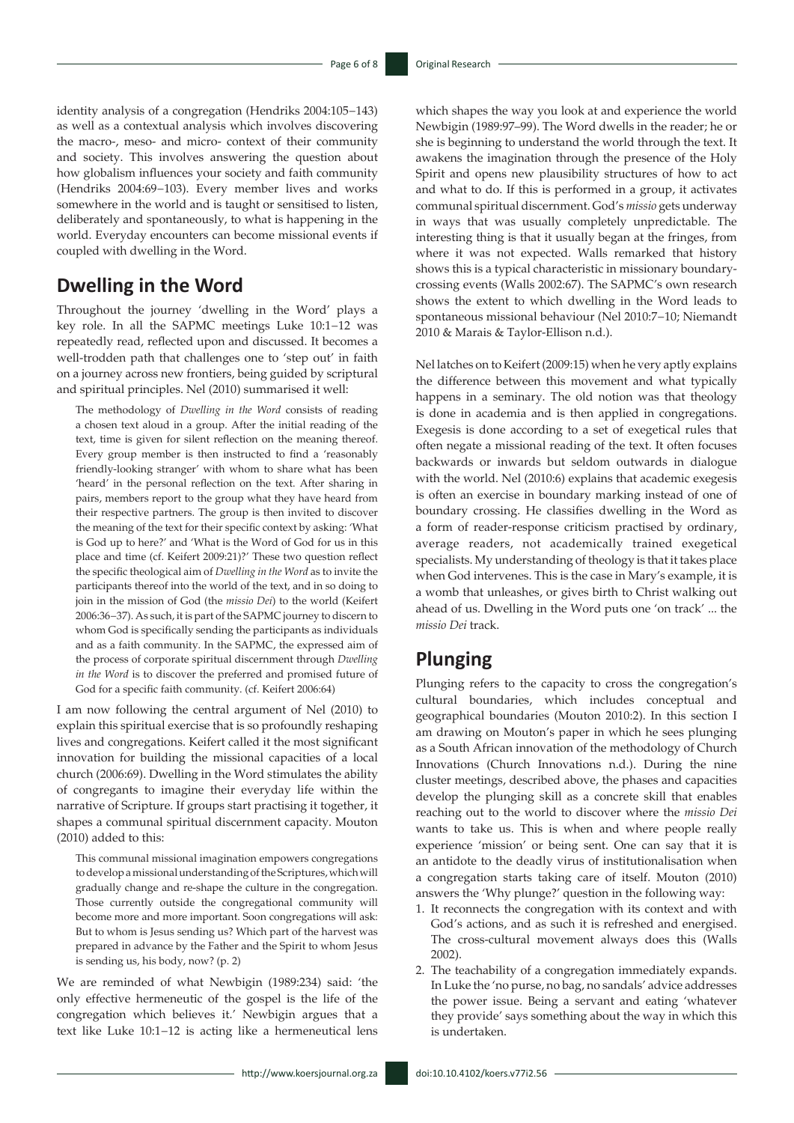identity analysis of a congregation (Hendriks 2004:105−143) as well as a contextual analysis which involves discovering the macro-, meso- and micro- context of their community and society. This involves answering the question about how globalism influences your society and faith community (Hendriks 2004:69−103). Every member lives and works somewhere in the world and is taught or sensitised to listen, deliberately and spontaneously, to what is happening in the world. Everyday encounters can become missional events if coupled with dwelling in the Word.

## **Dwelling in the Word**

Throughout the journey 'dwelling in the Word' plays a key role. In all the SAPMC meetings Luke 10:1−12 was repeatedly read, reflected upon and discussed. It becomes a well-trodden path that challenges one to 'step out' in faith on a journey across new frontiers, being guided by scriptural and spiritual principles. Nel (2010) summarised it well:

The methodology of *Dwelling in the Word* consists of reading a chosen text aloud in a group. After the initial reading of the text, time is given for silent reflection on the meaning thereof. Every group member is then instructed to find a 'reasonably friendly-looking stranger' with whom to share what has been 'heard' in the personal reflection on the text. After sharing in pairs, members report to the group what they have heard from their respective partners. The group is then invited to discover the meaning of the text for their specific context by asking: 'What is God up to here?' and 'What is the Word of God for us in this place and time (cf. Keifert 2009:21)?' These two question reflect the specific theological aim of *Dwelling in the Word* as to invite the participants thereof into the world of the text, and in so doing to join in the mission of God (the *missio Dei*) to the world (Keifert 2006:36−37). As such, it is part of the SAPMC journey to discern to whom God is specifically sending the participants as individuals and as a faith community. In the SAPMC, the expressed aim of the process of corporate spiritual discernment through *Dwelling in the Word* is to discover the preferred and promised future of God for a specific faith community. (cf. Keifert 2006:64)

I am now following the central argument of Nel (2010) to explain this spiritual exercise that is so profoundly reshaping lives and congregations. Keifert called it the most significant innovation for building the missional capacities of a local church (2006:69). Dwelling in the Word stimulates the ability of congregants to imagine their everyday life within the narrative of Scripture. If groups start practising it together, it shapes a communal spiritual discernment capacity. Mouton (2010) added to this:

This communal missional imagination empowers congregations to develop a missional understanding of the Scriptures, which will gradually change and re-shape the culture in the congregation. Those currently outside the congregational community will become more and more important. Soon congregations will ask: But to whom is Jesus sending us? Which part of the harvest was prepared in advance by the Father and the Spirit to whom Jesus is sending us, his body, now? (p. 2)

We are reminded of what Newbigin (1989:234) said: 'the only effective hermeneutic of the gospel is the life of the congregation which believes it.' Newbigin argues that a text like Luke 10:1−12 is acting like a hermeneutical lens

which shapes the way you look at and experience the world Newbigin (1989:97–99). The Word dwells in the reader; he or she is beginning to understand the world through the text. It awakens the imagination through the presence of the Holy Spirit and opens new plausibility structures of how to act and what to do. If this is performed in a group, it activates communal spiritual discernment. God's *missio* gets underway in ways that was usually completely unpredictable. The interesting thing is that it usually began at the fringes, from where it was not expected. Walls remarked that history shows this is a typical characteristic in missionary boundarycrossing events (Walls 2002:67). The SAPMC's own research shows the extent to which dwelling in the Word leads to spontaneous missional behaviour (Nel 2010:7−10; Niemandt 2010 & Marais & Taylor-Ellison n.d.).

Nel latches on to Keifert (2009:15) when he very aptly explains the difference between this movement and what typically happens in a seminary. The old notion was that theology is done in academia and is then applied in congregations. Exegesis is done according to a set of exegetical rules that often negate a missional reading of the text. It often focuses backwards or inwards but seldom outwards in dialogue with the world. Nel (2010:6) explains that academic exegesis is often an exercise in boundary marking instead of one of boundary crossing. He classifies dwelling in the Word as a form of reader-response criticism practised by ordinary, average readers, not academically trained exegetical specialists. My understanding of theology is that it takes place when God intervenes. This is the case in Mary's example, it is a womb that unleashes, or gives birth to Christ walking out ahead of us. Dwelling in the Word puts one 'on track' ... the *missio Dei* track.

# **Plunging**

Plunging refers to the capacity to cross the congregation's cultural boundaries, which includes conceptual and geographical boundaries (Mouton 2010:2). In this section I am drawing on Mouton's paper in which he sees plunging as a South African innovation of the methodology of Church Innovations (Church Innovations n.d.). During the nine cluster meetings, described above, the phases and capacities develop the plunging skill as a concrete skill that enables reaching out to the world to discover where the *missio Dei* wants to take us. This is when and where people really experience 'mission' or being sent. One can say that it is an antidote to the deadly virus of institutionalisation when a congregation starts taking care of itself. Mouton (2010) answers the 'Why plunge?' question in the following way:

- 1. It reconnects the congregation with its context and with God's actions, and as such it is refreshed and energised. The cross-cultural movement always does this (Walls 2002).
- 2. The teachability of a congregation immediately expands. In Luke the 'no purse, no bag, no sandals' advice addresses the power issue. Being a servant and eating 'whatever they provide' says something about the way in which this is undertaken.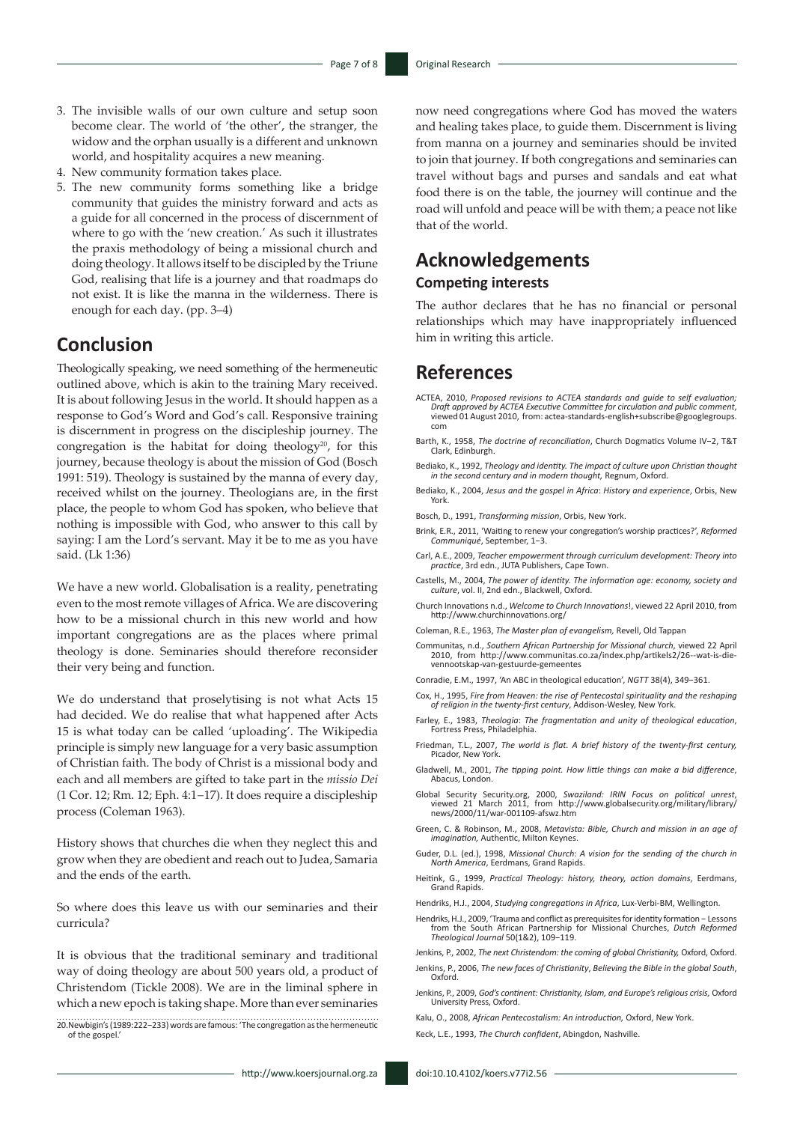- 3. The invisible walls of our own culture and setup soon become clear. The world of 'the other', the stranger, the widow and the orphan usually is a different and unknown world, and hospitality acquires a new meaning.
- 4. New community formation takes place.
- 5. The new community forms something like a bridge community that guides the ministry forward and acts as a guide for all concerned in the process of discernment of where to go with the 'new creation.' As such it illustrates the praxis methodology of being a missional church and doing theology. It allows itself to be discipled by the Triune God, realising that life is a journey and that roadmaps do not exist. It is like the manna in the wilderness. There is enough for each day. (pp. 3–4)

# **Conclusion**

Theologically speaking, we need something of the hermeneutic outlined above, which is akin to the training Mary received. It is about following Jesus in the world. It should happen as a response to God's Word and God's call. Responsive training is discernment in progress on the discipleship journey. The congregation is the habitat for doing theology<sup>20</sup>, for this journey, because theology is about the mission of God (Bosch 1991: 519). Theology is sustained by the manna of every day, received whilst on the journey. Theologians are, in the first place, the people to whom God has spoken, who believe that nothing is impossible with God, who answer to this call by saying: I am the Lord's servant. May it be to me as you have said. (Lk 1:36)

We have a new world. Globalisation is a reality, penetrating even to the most remote villages of Africa. We are discovering how to be a missional church in this new world and how important congregations are as the places where primal theology is done. Seminaries should therefore reconsider their very being and function.

We do understand that proselytising is not what Acts 15 had decided. We do realise that what happened after Acts 15 is what today can be called 'uploading'. The Wikipedia principle is simply new language for a very basic assumption of Christian faith. The body of Christ is a missional body and each and all members are gifted to take part in the *missio Dei*  (1 Cor. 12; Rm. 12; Eph. 4:1−17). It does require a discipleship process (Coleman 1963).

History shows that churches die when they neglect this and grow when they are obedient and reach out to Judea, Samaria and the ends of the earth.

So where does this leave us with our seminaries and their curricula?

It is obvious that the traditional seminary and traditional way of doing theology are about 500 years old, a product of Christendom (Tickle 2008). We are in the liminal sphere in which a new epoch is taking shape. More than ever seminaries

20.Newbigin's (1989:222−233) words are famous: 'The congregation as the hermeneutic of the gospel.'

now need congregations where God has moved the waters and healing takes place, to guide them. Discernment is living from manna on a journey and seminaries should be invited to join that journey. If both congregations and seminaries can travel without bags and purses and sandals and eat what food there is on the table, the journey will continue and the road will unfold and peace will be with them; a peace not like that of the world.

# **Acknowledgements**

# **Competing interests**

The author declares that he has no financial or personal relationships which may have inappropriately influenced him in writing this article.

## **References**

- ACTEA, 2010, *Proposed revisions to ACTEA standards and guide to self evaluation; Draft approved by ACTEA Executive Committee for circulation and public comment*, viewed 01 August 2010, from: [actea-standards-english+subscribe@googlegroups.](mailto:actea-standards-english+subscribe@googlegroups.com) [com](mailto:actea-standards-english+subscribe@googlegroups.com)
- Barth, K., 1958, *The doctrine of reconciliation*, Church Dogmatics Volume IV−2, T&T Clark, Edinburgh.
- Bediako, K., 1992, *Theology and identity. The impact of culture upon Christian thought in the second century and in modern thought,* Regnum, Oxford.
- Bediako, K., 2004, *Jesus and the gospel in Africa*: *History and experience*, Orbis, New York.
- Bosch, D., 1991, *Transforming mission*, Orbis, New York.
- Brink, E.R., 2011, 'Waiting to renew your congregation's worship practices?', *Reformed Communiqué*, September, 1−3.
- Carl, A.E., 2009, *Teacher empowerment through curriculum development: Theory into practice*, 3rd edn., JUTA Publishers, Cape Town.
- Castells, M., 2004, *The power of identity. The information age: economy, society and culture*, vol. II, 2nd edn., Blackwell, Oxford.
- Church Innovations n.d., *Welcome to Church Innovations*!, viewed 22 April 2010, from <http://www.churchinnovations.org/>
- Coleman, R.E., 1963, *The Master plan of evangelism,* Revell, Old Tappan
- Communitas, n.d., *Southern African Partnership for Missional church*, viewed 22 April 2010, from [http://www.communitas.co.za/index.php/artikels2/26--wat-is-die](http://www.communitas.co.za/index.php/artikels2/26--wat-is-die-vennootskap-van-gestuurde-gemeentes )[vennootskap-van-gestuurde-gemeentes](http://www.communitas.co.za/index.php/artikels2/26--wat-is-die-vennootskap-van-gestuurde-gemeentes )
- Conradie, E.M., 1997, 'An ABC in theological education', *NGTT* 38(4), 349−361.
- Cox, H., 1995, *Fire from Heaven: the rise of Pentecostal spirituality and the reshaping of religion in the twenty-first century*, Addison-Wesley, New York.
- Farley, E., 1983, *Theologia*: *The fragmentation and unity of theological education*, Fortress Press, Philadelphia.
- Friedman, T.L., 2007, *The world is flat. A brief history of the twenty-first century,*  Picador, New York.
- Gladwell, M., 2001, *The tipping point. How little things can make a bid difference*, Abacus, London.
- Global Security Security.org, 2000, *Swaziland: IRIN Focus on political unrest*, viewed 21 March 2011, from http://www.globalsecurity.org/military/library/ news/2000/11/war-001109-afswz.htm
- Green, C. & Robinson, M., 2008, *Metavista: Bible, Church and mission in an age of imagination,* Authentic, Milton Keynes.
- Guder, D.L. (ed.), 1998, *Missional Church*: *A vision for the sending of the church in North America*, Eerdmans, Grand Rapids.
- Heitink, G., 1999, *Practical Theology: history, theory, action domains*, Eerdmans, Grand Rapids.
- Hendriks, H.J., 2004, *Studying congregations in Africa*, Lux-Verbi-BM, Wellington.
- Hendriks, H.J., 2009, 'Trauma and conflict as prerequisites for identity formation − Lessons from the South African Partnership for Missional Churches, *Dutch Reformed Theological Journal* 50(1&2), 109−119.

Jenkins, P., 2002, *The next Christendom: the coming of global Christianity*, Oxford, Oxford. Jenkins, P., 2006, *The new faces of Christianity*, *Believing the Bible in the global South*, Oxford.

- Jenkins, P., 2009, *God's continent: Christianity, Islam, and Europe's religious crisis,* Oxford University Press, Oxford.
- Kalu, O., 2008, *African Pentecostalism: An introduction,* Oxford, New York.
- Keck, L.E., 1993, *The Church confident*, Abingdon, Nashville.